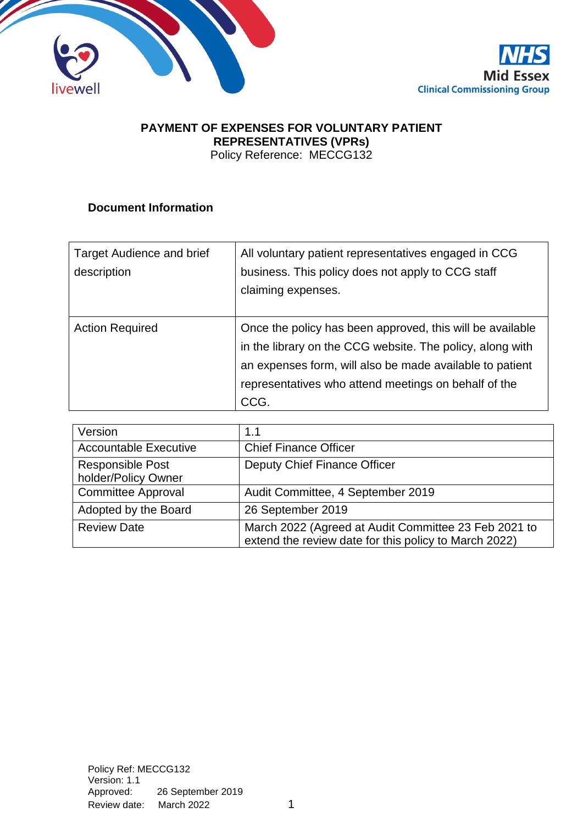



# **PAYMENT OF EXPENSES FOR VOLUNTARY PATIENT REPRESENTATIVES (VPRs)**

Policy Reference: MECCG132

# **Document Information**

| Target Audience and brief | All voluntary patient representatives engaged in CCG      |  |
|---------------------------|-----------------------------------------------------------|--|
| description               | business. This policy does not apply to CCG staff         |  |
|                           | claiming expenses.                                        |  |
|                           |                                                           |  |
| <b>Action Required</b>    | Once the policy has been approved, this will be available |  |
|                           | in the library on the CCG website. The policy, along with |  |
|                           | an expenses form, will also be made available to patient  |  |
|                           | representatives who attend meetings on behalf of the      |  |
|                           | CCG.                                                      |  |

| Version                                        | 1.1                                                                                                           |  |
|------------------------------------------------|---------------------------------------------------------------------------------------------------------------|--|
| <b>Accountable Executive</b>                   | <b>Chief Finance Officer</b>                                                                                  |  |
| <b>Responsible Post</b><br>holder/Policy Owner | Deputy Chief Finance Officer                                                                                  |  |
| <b>Committee Approval</b>                      | Audit Committee, 4 September 2019                                                                             |  |
| Adopted by the Board                           | 26 September 2019                                                                                             |  |
| <b>Review Date</b>                             | March 2022 (Agreed at Audit Committee 23 Feb 2021 to<br>extend the review date for this policy to March 2022) |  |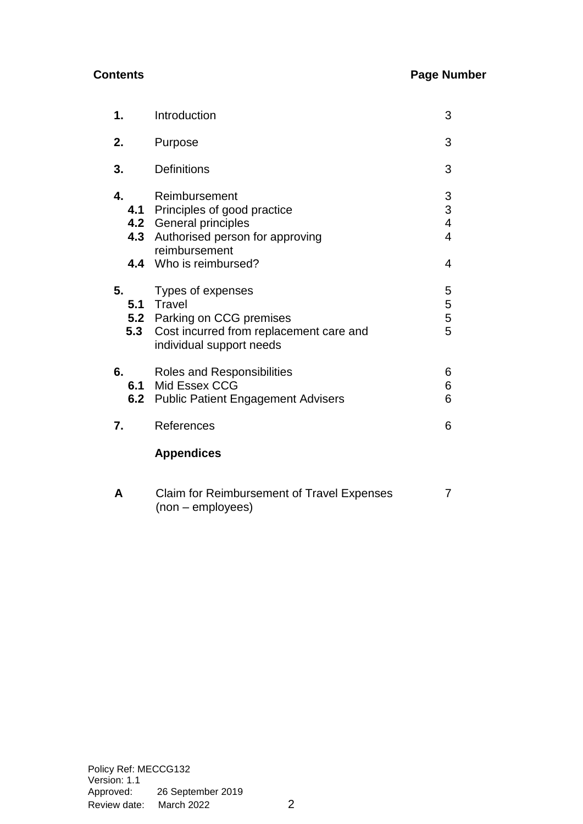# **Contents Page Number**

| 1.               | Introduction                                                                                                                                                 |                                                                   |
|------------------|--------------------------------------------------------------------------------------------------------------------------------------------------------------|-------------------------------------------------------------------|
| 2.               | Purpose                                                                                                                                                      | 3                                                                 |
| 3.               | <b>Definitions</b>                                                                                                                                           | 3                                                                 |
| 4.               | Reimbursement<br>4.1 Principles of good practice<br>4.2 General principles<br>4.3 Authorised person for approving<br>reimbursement<br>4.4 Who is reimbursed? | $\begin{array}{c} 3 \\ 3 \\ 4 \end{array}$<br>$\overline{4}$<br>4 |
| 5.<br>5.3        | Types of expenses<br>5.1 Travel<br>5.2 Parking on CCG premises<br>Cost incurred from replacement care and<br>individual support needs                        | 5<br>5<br>5<br>5                                                  |
| 6.<br>6.1<br>6.2 | Roles and Responsibilities<br>Mid Essex CCG<br><b>Public Patient Engagement Advisers</b>                                                                     | 6<br>6<br>6                                                       |
| 7.               | References                                                                                                                                                   | 6                                                                 |
|                  | <b>Appendices</b>                                                                                                                                            |                                                                   |
| A                | Claim for Reimbursement of Travel Expenses                                                                                                                   | 7                                                                 |

(non – employees)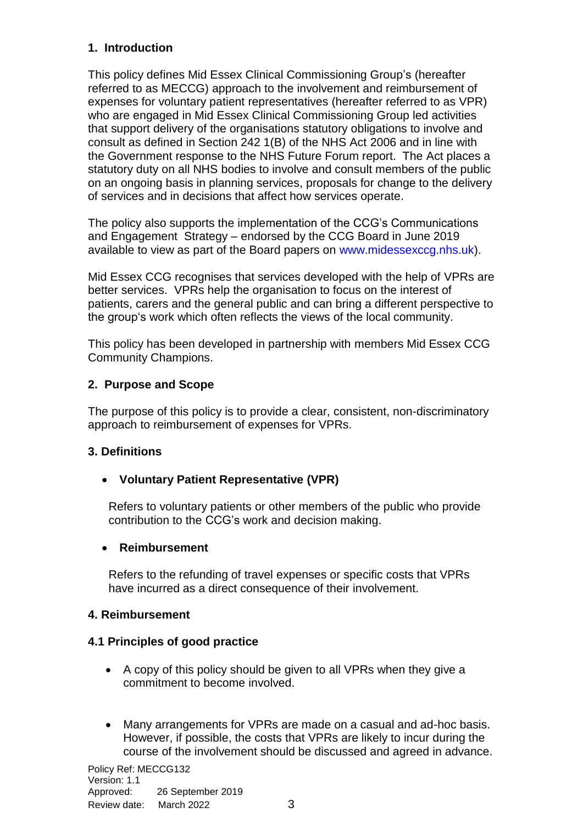# **1. Introduction**

This policy defines Mid Essex Clinical Commissioning Group's (hereafter referred to as MECCG) approach to the involvement and reimbursement of expenses for voluntary patient representatives (hereafter referred to as VPR) who are engaged in Mid Essex Clinical Commissioning Group led activities that support delivery of the organisations statutory obligations to involve and consult as defined in Section 242 1(B) of the NHS Act 2006 and in line with the Government response to the NHS Future Forum report. The Act places a statutory duty on all NHS bodies to involve and consult members of the public on an ongoing basis in planning services, proposals for change to the delivery of services and in decisions that affect how services operate.

The policy also supports the implementation of the CCG's Communications and Engagement Strategy – endorsed by the CCG Board in June 2019 available to view as part of the Board papers on [www.midessexccg.nhs.uk\)](http://www.midessexccg.nhs.uk/).

Mid Essex CCG recognises that services developed with the help of VPRs are better services. VPRs help the organisation to focus on the interest of patients, carers and the general public and can bring a different perspective to the group's work which often reflects the views of the local community.

This policy has been developed in partnership with members Mid Essex CCG Community Champions.

# **2. Purpose and Scope**

The purpose of this policy is to provide a clear, consistent, non-discriminatory approach to reimbursement of expenses for VPRs.

# **3. Definitions**

# • **Voluntary Patient Representative (VPR)**

Refers to voluntary patients or other members of the public who provide contribution to the CCG's work and decision making.

# • **Reimbursement**

Refers to the refunding of travel expenses or specific costs that VPRs have incurred as a direct consequence of their involvement.

# **4. Reimbursement**

# **4.1 Principles of good practice**

- A copy of this policy should be given to all VPRs when they give a commitment to become involved.
- Many arrangements for VPRs are made on a casual and ad-hoc basis. However, if possible, the costs that VPRs are likely to incur during the course of the involvement should be discussed and agreed in advance.

Policy Ref: MECCG132 Version: 1.1 Approved: 26 September 2019 Review date: March 2022 3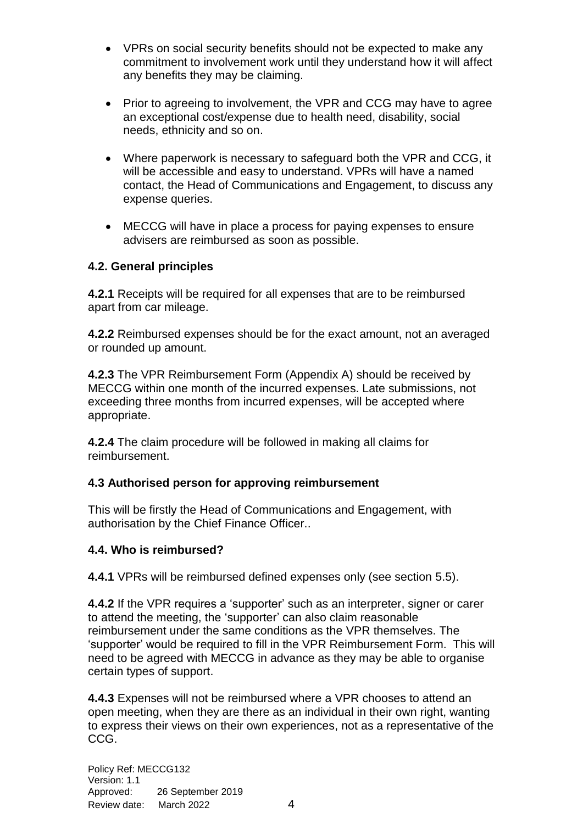- VPRs on social security benefits should not be expected to make any commitment to involvement work until they understand how it will affect any benefits they may be claiming.
- Prior to agreeing to involvement, the VPR and CCG may have to agree an exceptional cost/expense due to health need, disability, social needs, ethnicity and so on.
- Where paperwork is necessary to safeguard both the VPR and CCG, it will be accessible and easy to understand. VPRs will have a named contact, the Head of Communications and Engagement, to discuss any expense queries.
- MECCG will have in place a process for paying expenses to ensure advisers are reimbursed as soon as possible.

# **4.2. General principles**

**4.2.1** Receipts will be required for all expenses that are to be reimbursed apart from car mileage.

**4.2.2** Reimbursed expenses should be for the exact amount, not an averaged or rounded up amount.

**4.2.3** The VPR Reimbursement Form (Appendix A) should be received by MECCG within one month of the incurred expenses. Late submissions, not exceeding three months from incurred expenses, will be accepted where appropriate.

**4.2.4** The claim procedure will be followed in making all claims for reimbursement.

### **4.3 Authorised person for approving reimbursement**

This will be firstly the Head of Communications and Engagement, with authorisation by the Chief Finance Officer..

### **4.4. Who is reimbursed?**

**4.4.1** VPRs will be reimbursed defined expenses only (see section 5.5).

**4.4.2** If the VPR requires a 'supporter' such as an interpreter, signer or carer to attend the meeting, the 'supporter' can also claim reasonable reimbursement under the same conditions as the VPR themselves. The 'supporter' would be required to fill in the VPR Reimbursement Form. This will need to be agreed with MECCG in advance as they may be able to organise certain types of support.

**4.4.3** Expenses will not be reimbursed where a VPR chooses to attend an open meeting, when they are there as an individual in their own right, wanting to express their views on their own experiences, not as a representative of the CCG.

Policy Ref: MECCG132 Version: 1.1 Approved: 26 September 2019 Review date: March 2022 4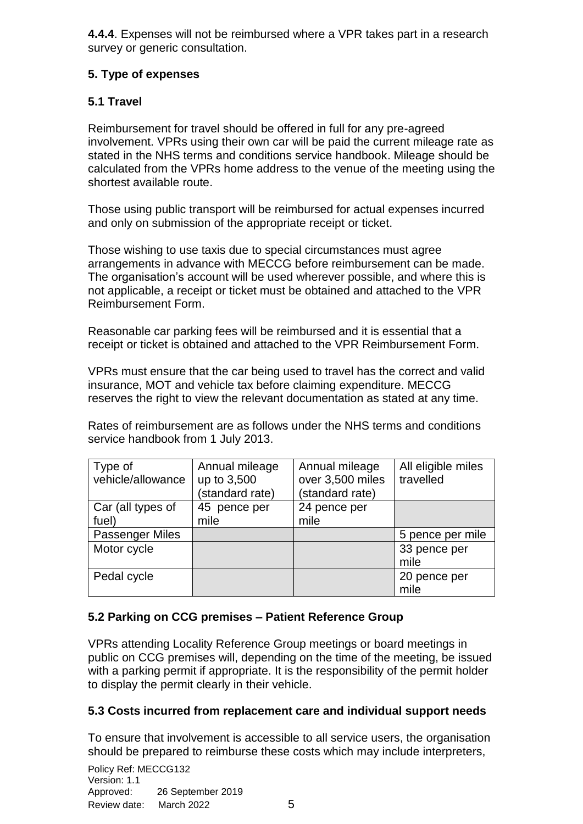**4.4.4**. Expenses will not be reimbursed where a VPR takes part in a research survey or generic consultation.

# **5. Type of expenses**

# **5.1 Travel**

Reimbursement for travel should be offered in full for any pre-agreed involvement. VPRs using their own car will be paid the current mileage rate as stated in the NHS terms and conditions service handbook. Mileage should be calculated from the VPRs home address to the venue of the meeting using the shortest available route.

Those using public transport will be reimbursed for actual expenses incurred and only on submission of the appropriate receipt or ticket.

Those wishing to use taxis due to special circumstances must agree arrangements in advance with MECCG before reimbursement can be made. The organisation's account will be used wherever possible, and where this is not applicable, a receipt or ticket must be obtained and attached to the VPR Reimbursement Form.

Reasonable car parking fees will be reimbursed and it is essential that a receipt or ticket is obtained and attached to the VPR Reimbursement Form.

VPRs must ensure that the car being used to travel has the correct and valid insurance, MOT and vehicle tax before claiming expenditure. MECCG reserves the right to view the relevant documentation as stated at any time.

Rates of reimbursement are as follows under the NHS terms and conditions service handbook from 1 July 2013.

| Type of<br>vehicle/allowance | Annual mileage<br>up to 3,500<br>(standard rate) | Annual mileage<br>over 3,500 miles<br>(standard rate) | All eligible miles<br>travelled |
|------------------------------|--------------------------------------------------|-------------------------------------------------------|---------------------------------|
| Car (all types of<br>fuel)   | 45 pence per<br>mile                             | 24 pence per<br>mile                                  |                                 |
|                              |                                                  |                                                       |                                 |
| <b>Passenger Miles</b>       |                                                  |                                                       | 5 pence per mile                |
| Motor cycle                  |                                                  |                                                       | 33 pence per                    |
|                              |                                                  |                                                       | mile                            |
| Pedal cycle                  |                                                  |                                                       | 20 pence per<br>mile            |

# **5.2 Parking on CCG premises – Patient Reference Group**

VPRs attending Locality Reference Group meetings or board meetings in public on CCG premises will, depending on the time of the meeting, be issued with a parking permit if appropriate. It is the responsibility of the permit holder to display the permit clearly in their vehicle.

# **5.3 Costs incurred from replacement care and individual support needs**

To ensure that involvement is accessible to all service users, the organisation should be prepared to reimburse these costs which may include interpreters,

Policy Ref: MECCG132 Version: 1.1 Approved: 26 September 2019 Review date: March 2022 5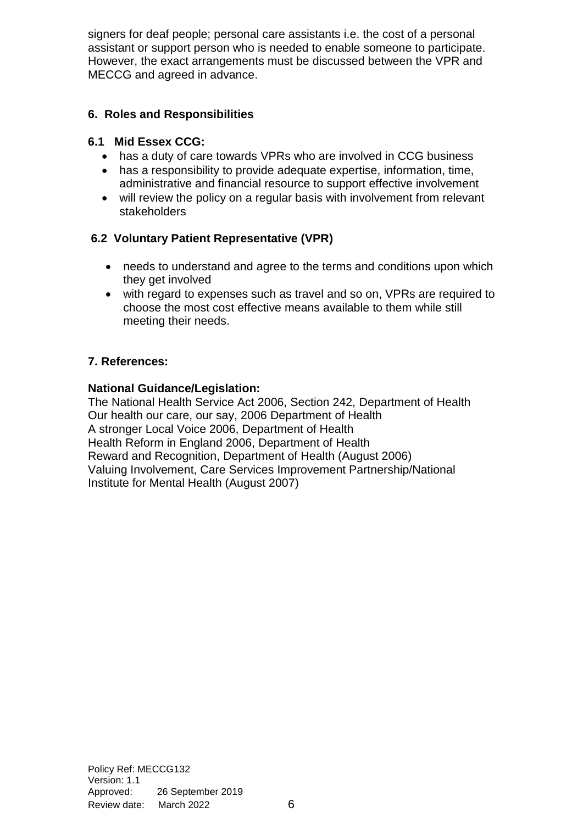signers for deaf people; personal care assistants i.e. the cost of a personal assistant or support person who is needed to enable someone to participate. However, the exact arrangements must be discussed between the VPR and MECCG and agreed in advance.

# **6. Roles and Responsibilities**

# **6.1 Mid Essex CCG:**

- has a duty of care towards VPRs who are involved in CCG business
- has a responsibility to provide adequate expertise, information, time, administrative and financial resource to support effective involvement
- will review the policy on a regular basis with involvement from relevant stakeholders

# **6.2 Voluntary Patient Representative (VPR)**

- needs to understand and agree to the terms and conditions upon which they get involved
- with regard to expenses such as travel and so on, VPRs are required to choose the most cost effective means available to them while still meeting their needs.

# **7. References:**

# **National Guidance/Legislation:**

The National Health Service Act 2006, Section 242, Department of Health Our health our care, our say, 2006 Department of Health A stronger Local Voice 2006, Department of Health Health Reform in England 2006, Department of Health Reward and Recognition, Department of Health (August 2006) Valuing Involvement, Care Services Improvement Partnership/National Institute for Mental Health (August 2007)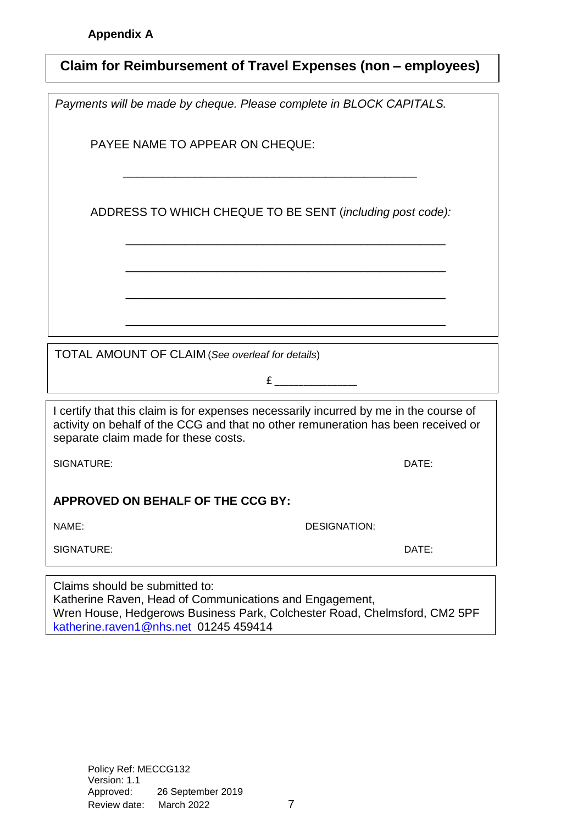| Claim for Reimbursement of Travel Expenses (non - employees)                                                                                                                                                       |       |  |  |
|--------------------------------------------------------------------------------------------------------------------------------------------------------------------------------------------------------------------|-------|--|--|
| Payments will be made by cheque. Please complete in BLOCK CAPITALS.                                                                                                                                                |       |  |  |
| PAYEE NAME TO APPEAR ON CHEQUE:                                                                                                                                                                                    |       |  |  |
| ADDRESS TO WHICH CHEQUE TO BE SENT (including post code):                                                                                                                                                          |       |  |  |
|                                                                                                                                                                                                                    |       |  |  |
|                                                                                                                                                                                                                    |       |  |  |
| TOTAL AMOUNT OF CLAIM (See overleaf for details)<br>$f$ and $f$                                                                                                                                                    |       |  |  |
| I certify that this claim is for expenses necessarily incurred by me in the course of<br>activity on behalf of the CCG and that no other remuneration has been received or<br>separate claim made for these costs. |       |  |  |
| SIGNATURE:                                                                                                                                                                                                         | DATE: |  |  |
| APPROVED ON BEHALF OF THE CCG BY:                                                                                                                                                                                  |       |  |  |
| NAME:<br><b>DESIGNATION:</b>                                                                                                                                                                                       |       |  |  |
| SIGNATURE:                                                                                                                                                                                                         | DATE: |  |  |
| Claims should be submitted to:                                                                                                                                                                                     |       |  |  |

Katherine Raven, Head of Communications and Engagement, Wren House, Hedgerows Business Park, Colchester Road, Chelmsford, CM2 5PF [katherine.raven1@nhs.net](mailto:katherine.raven1@nhs.net) 01245 459414